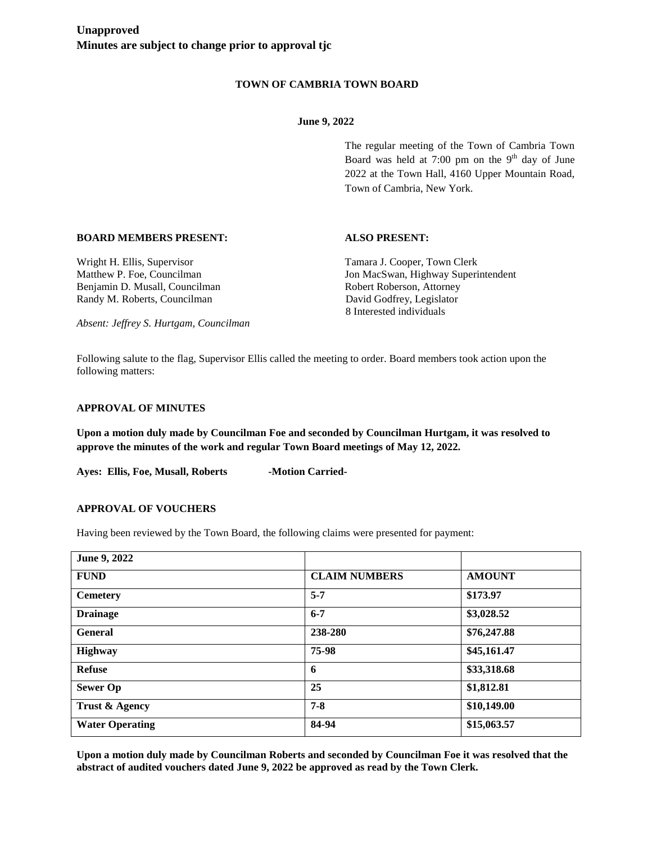# **TOWN OF CAMBRIA TOWN BOARD**

## **June 9, 2022**

The regular meeting of the Town of Cambria Town Board was held at 7:00 pm on the  $9<sup>th</sup>$  day of June 2022 at the Town Hall, 4160 Upper Mountain Road, Town of Cambria, New York.

# **BOARD MEMBERS PRESENT: ALSO PRESENT:**

Benjamin D. Musall, Councilman Robert Robert Roberson, Attorney Randy M. Roberts, Councilman David Godfrey, Legislator

Wright H. Ellis, Supervisor Tamara J. Cooper, Town Clerk Matthew P. Foe, Councilman Jon MacSwan, Highway Superintendent 8 Interested individuals

*Absent: Jeffrey S. Hurtgam, Councilman*

Following salute to the flag, Supervisor Ellis called the meeting to order. Board members took action upon the following matters:

#### **APPROVAL OF MINUTES**

**Upon a motion duly made by Councilman Foe and seconded by Councilman Hurtgam, it was resolved to approve the minutes of the work and regular Town Board meetings of May 12, 2022.**

Ayes: Ellis, Foe, Musall, Roberts -Motion Carried-

## **APPROVAL OF VOUCHERS**

Having been reviewed by the Town Board, the following claims were presented for payment:

| June 9, 2022           |                      |               |
|------------------------|----------------------|---------------|
| <b>FUND</b>            | <b>CLAIM NUMBERS</b> | <b>AMOUNT</b> |
| <b>Cemetery</b>        | $5 - 7$              | \$173.97      |
| <b>Drainage</b>        | $6 - 7$              | \$3,028.52    |
| <b>General</b>         | 238-280              | \$76,247.88   |
| <b>Highway</b>         | 75-98                | \$45,161.47   |
| <b>Refuse</b>          | 6                    | \$33,318.68   |
| <b>Sewer Op</b>        | 25                   | \$1,812.81    |
| Trust & Agency         | $7 - 8$              | \$10,149.00   |
| <b>Water Operating</b> | 84-94                | \$15,063.57   |

**Upon a motion duly made by Councilman Roberts and seconded by Councilman Foe it was resolved that the abstract of audited vouchers dated June 9, 2022 be approved as read by the Town Clerk.**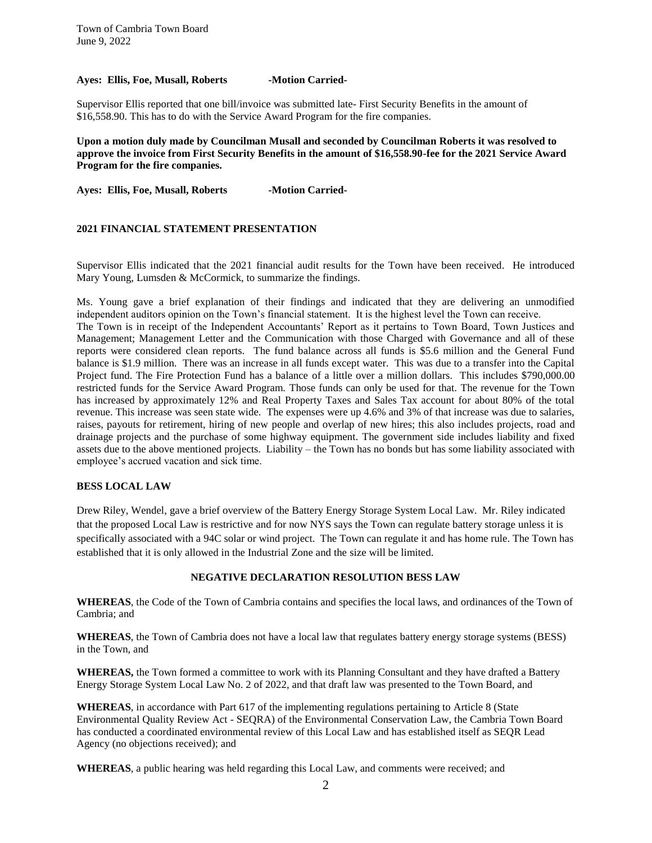#### Ayes: Ellis, Foe, Musall, Roberts -Motion Carried-

Supervisor Ellis reported that one bill/invoice was submitted late- First Security Benefits in the amount of \$16,558.90. This has to do with the Service Award Program for the fire companies.

**Upon a motion duly made by Councilman Musall and seconded by Councilman Roberts it was resolved to approve the invoice from First Security Benefits in the amount of \$16,558.90-fee for the 2021 Service Award Program for the fire companies.**

Ayes: Ellis, Foe, Musall, Roberts -Motion Carried-

## **2021 FINANCIAL STATEMENT PRESENTATION**

Supervisor Ellis indicated that the 2021 financial audit results for the Town have been received. He introduced Mary Young, Lumsden & McCormick, to summarize the findings.

Ms. Young gave a brief explanation of their findings and indicated that they are delivering an unmodified independent auditors opinion on the Town's financial statement. It is the highest level the Town can receive. The Town is in receipt of the Independent Accountants' Report as it pertains to Town Board, Town Justices and Management; Management Letter and the Communication with those Charged with Governance and all of these reports were considered clean reports. The fund balance across all funds is \$5.6 million and the General Fund balance is \$1.9 million. There was an increase in all funds except water. This was due to a transfer into the Capital Project fund. The Fire Protection Fund has a balance of a little over a million dollars. This includes \$790,000.00 restricted funds for the Service Award Program. Those funds can only be used for that. The revenue for the Town has increased by approximately 12% and Real Property Taxes and Sales Tax account for about 80% of the total revenue. This increase was seen state wide. The expenses were up 4.6% and 3% of that increase was due to salaries, raises, payouts for retirement, hiring of new people and overlap of new hires; this also includes projects, road and drainage projects and the purchase of some highway equipment. The government side includes liability and fixed assets due to the above mentioned projects. Liability – the Town has no bonds but has some liability associated with employee's accrued vacation and sick time.

## **BESS LOCAL LAW**

Drew Riley, Wendel, gave a brief overview of the Battery Energy Storage System Local Law. Mr. Riley indicated that the proposed Local Law is restrictive and for now NYS says the Town can regulate battery storage unless it is specifically associated with a 94C solar or wind project. The Town can regulate it and has home rule. The Town has established that it is only allowed in the Industrial Zone and the size will be limited.

#### **NEGATIVE DECLARATION RESOLUTION BESS LAW**

**WHEREAS**, the Code of the Town of Cambria contains and specifies the local laws, and ordinances of the Town of Cambria; and

**WHEREAS**, the Town of Cambria does not have a local law that regulates battery energy storage systems (BESS) in the Town, and

**WHEREAS,** the Town formed a committee to work with its Planning Consultant and they have drafted a Battery Energy Storage System Local Law No. 2 of 2022, and that draft law was presented to the Town Board, and

**WHEREAS**, in accordance with Part 617 of the implementing regulations pertaining to Article 8 (State Environmental Quality Review Act - SEQRA) of the Environmental Conservation Law, the Cambria Town Board has conducted a coordinated environmental review of this Local Law and has established itself as SEQR Lead Agency (no objections received); and

**WHEREAS**, a public hearing was held regarding this Local Law, and comments were received; and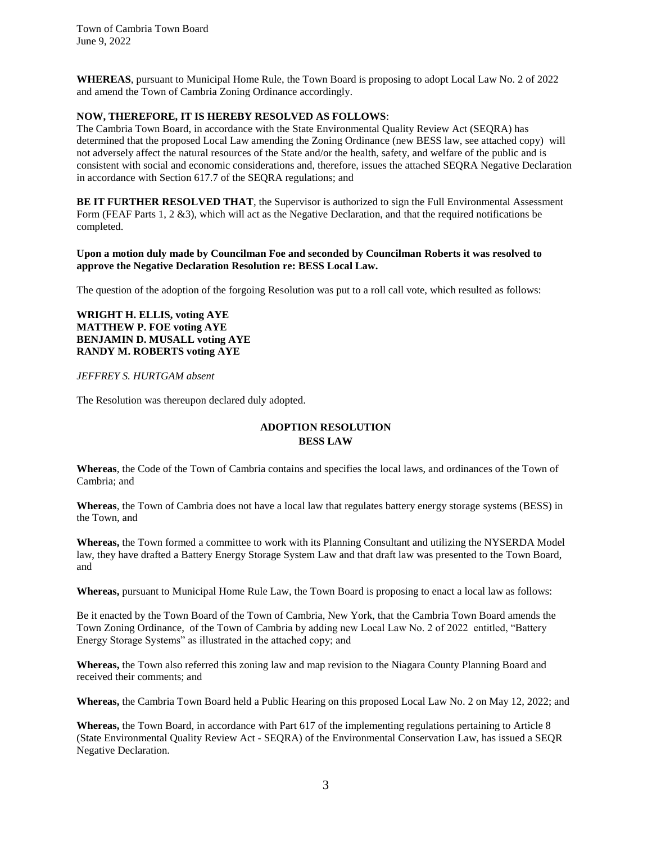**WHEREAS**, pursuant to Municipal Home Rule, the Town Board is proposing to adopt Local Law No. 2 of 2022 and amend the Town of Cambria Zoning Ordinance accordingly.

#### **NOW, THEREFORE, IT IS HEREBY RESOLVED AS FOLLOWS**:

The Cambria Town Board, in accordance with the State Environmental Quality Review Act (SEQRA) has determined that the proposed Local Law amending the Zoning Ordinance (new BESS law, see attached copy) will not adversely affect the natural resources of the State and/or the health, safety, and welfare of the public and is consistent with social and economic considerations and, therefore, issues the attached SEQRA Negative Declaration in accordance with Section 617.7 of the SEQRA regulations; and

**BE IT FURTHER RESOLVED THAT**, the Supervisor is authorized to sign the Full Environmental Assessment Form (FEAF Parts 1, 2 &3), which will act as the Negative Declaration, and that the required notifications be completed.

#### **Upon a motion duly made by Councilman Foe and seconded by Councilman Roberts it was resolved to approve the Negative Declaration Resolution re: BESS Local Law.**

The question of the adoption of the forgoing Resolution was put to a roll call vote, which resulted as follows:

**WRIGHT H. ELLIS, voting AYE MATTHEW P. FOE voting AYE BENJAMIN D. MUSALL voting AYE RANDY M. ROBERTS voting AYE**

*JEFFREY S. HURTGAM absent*

The Resolution was thereupon declared duly adopted.

# **ADOPTION RESOLUTION BESS LAW**

**Whereas**, the Code of the Town of Cambria contains and specifies the local laws, and ordinances of the Town of Cambria; and

**Whereas**, the Town of Cambria does not have a local law that regulates battery energy storage systems (BESS) in the Town, and

**Whereas,** the Town formed a committee to work with its Planning Consultant and utilizing the NYSERDA Model law, they have drafted a Battery Energy Storage System Law and that draft law was presented to the Town Board, and

**Whereas,** pursuant to Municipal Home Rule Law, the Town Board is proposing to enact a local law as follows:

Be it enacted by the Town Board of the Town of Cambria, New York, that the Cambria Town Board amends the Town Zoning Ordinance, of the Town of Cambria by adding new Local Law No. 2 of 2022 entitled, "Battery Energy Storage Systems" as illustrated in the attached copy; and

**Whereas,** the Town also referred this zoning law and map revision to the Niagara County Planning Board and received their comments; and

**Whereas,** the Cambria Town Board held a Public Hearing on this proposed Local Law No. 2 on May 12, 2022; and

**Whereas,** the Town Board, in accordance with Part 617 of the implementing regulations pertaining to Article 8 (State Environmental Quality Review Act - SEQRA) of the Environmental Conservation Law, has issued a SEQR Negative Declaration.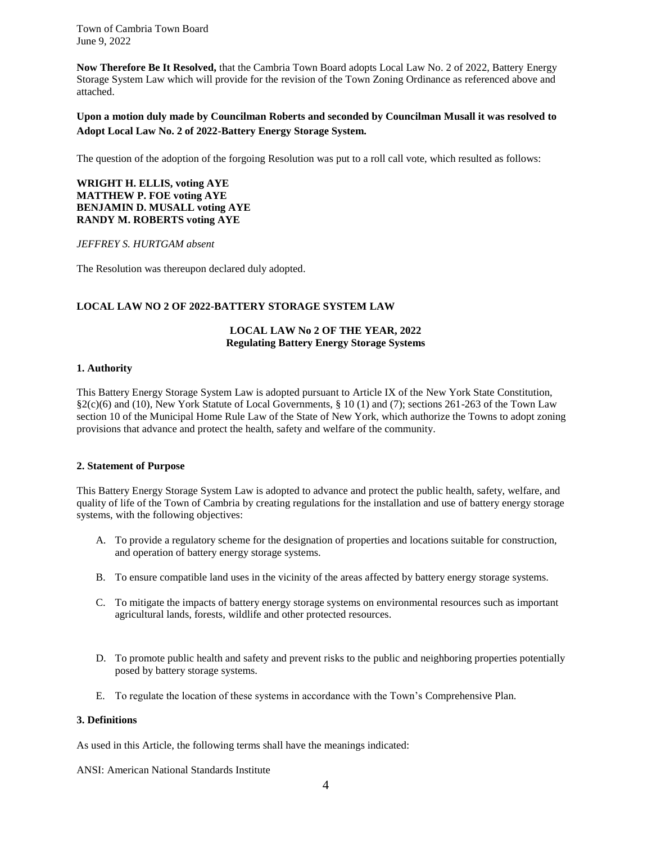**Now Therefore Be It Resolved,** that the Cambria Town Board adopts Local Law No. 2 of 2022, Battery Energy Storage System Law which will provide for the revision of the Town Zoning Ordinance as referenced above and attached.

**Upon a motion duly made by Councilman Roberts and seconded by Councilman Musall it was resolved to Adopt Local Law No. 2 of 2022-Battery Energy Storage System.** 

The question of the adoption of the forgoing Resolution was put to a roll call vote, which resulted as follows:

## **WRIGHT H. ELLIS, voting AYE MATTHEW P. FOE voting AYE BENJAMIN D. MUSALL voting AYE RANDY M. ROBERTS voting AYE**

*JEFFREY S. HURTGAM absent*

The Resolution was thereupon declared duly adopted.

## **LOCAL LAW NO 2 OF 2022-BATTERY STORAGE SYSTEM LAW**

## **LOCAL LAW No 2 OF THE YEAR, 2022 Regulating Battery Energy Storage Systems**

#### **1. Authority**

This Battery Energy Storage System Law is adopted pursuant to Article IX of the New York State Constitution,  $\S2(c)(6)$  and (10), New York Statute of Local Governments,  $\S10(1)$  and (7); sections 261-263 of the Town Law section 10 of the Municipal Home Rule Law of the State of New York, which authorize the Towns to adopt zoning provisions that advance and protect the health, safety and welfare of the community.

## **2. Statement of Purpose**

This Battery Energy Storage System Law is adopted to advance and protect the public health, safety, welfare, and quality of life of the Town of Cambria by creating regulations for the installation and use of battery energy storage systems, with the following objectives:

- A. To provide a regulatory scheme for the designation of properties and locations suitable for construction, and operation of battery energy storage systems.
- B. To ensure compatible land uses in the vicinity of the areas affected by battery energy storage systems.
- C. To mitigate the impacts of battery energy storage systems on environmental resources such as important agricultural lands, forests, wildlife and other protected resources.
- D. To promote public health and safety and prevent risks to the public and neighboring properties potentially posed by battery storage systems.
- E. To regulate the location of these systems in accordance with the Town's Comprehensive Plan.

## **3. Definitions**

As used in this Article, the following terms shall have the meanings indicated:

ANSI: American National Standards Institute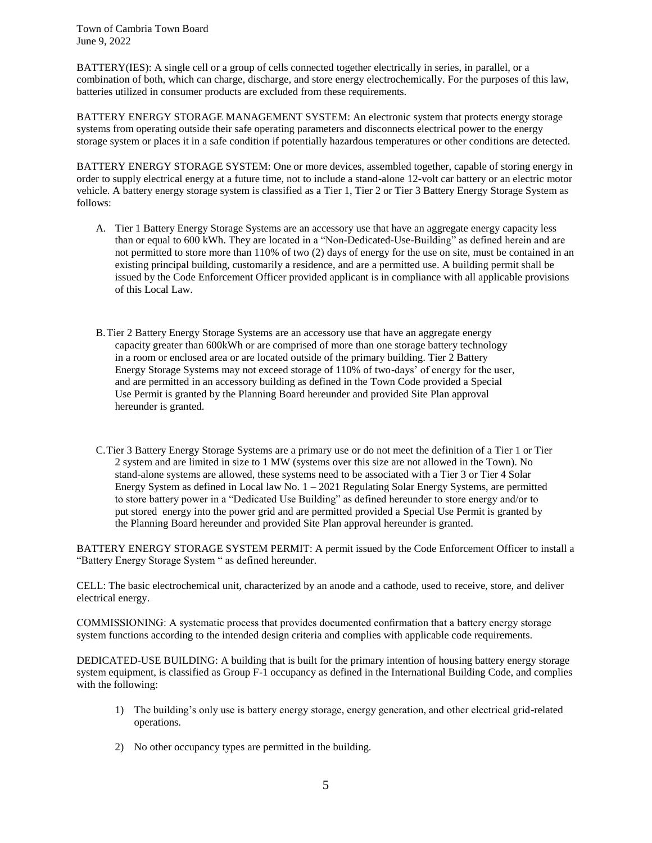BATTERY(IES): A single cell or a group of cells connected together electrically in series, in parallel, or a combination of both, which can charge, discharge, and store energy electrochemically. For the purposes of this law, batteries utilized in consumer products are excluded from these requirements.

BATTERY ENERGY STORAGE MANAGEMENT SYSTEM: An electronic system that protects energy storage systems from operating outside their safe operating parameters and disconnects electrical power to the energy storage system or places it in a safe condition if potentially hazardous temperatures or other conditions are detected.

BATTERY ENERGY STORAGE SYSTEM: One or more devices, assembled together, capable of storing energy in order to supply electrical energy at a future time, not to include a stand-alone 12-volt car battery or an electric motor vehicle. A battery energy storage system is classified as a Tier 1, Tier 2 or Tier 3 Battery Energy Storage System as follows:

- A. Tier 1 Battery Energy Storage Systems are an accessory use that have an aggregate energy capacity less than or equal to 600 kWh. They are located in a "Non-Dedicated-Use-Building" as defined herein and are not permitted to store more than 110% of two (2) days of energy for the use on site, must be contained in an existing principal building, customarily a residence, and are a permitted use. A building permit shall be issued by the Code Enforcement Officer provided applicant is in compliance with all applicable provisions of this Local Law.
- B.Tier 2 Battery Energy Storage Systems are an accessory use that have an aggregate energy capacity greater than 600kWh or are comprised of more than one storage battery technology in a room or enclosed area or are located outside of the primary building. Tier 2 Battery Energy Storage Systems may not exceed storage of 110% of two-days' of energy for the user, and are permitted in an accessory building as defined in the Town Code provided a Special Use Permit is granted by the Planning Board hereunder and provided Site Plan approval hereunder is granted.
- C.Tier 3 Battery Energy Storage Systems are a primary use or do not meet the definition of a Tier 1 or Tier 2 system and are limited in size to 1 MW (systems over this size are not allowed in the Town). No stand-alone systems are allowed, these systems need to be associated with a Tier 3 or Tier 4 Solar Energy System as defined in Local law No.  $1 - 2021$  Regulating Solar Energy Systems, are permitted to store battery power in a "Dedicated Use Building" as defined hereunder to store energy and/or to put stored energy into the power grid and are permitted provided a Special Use Permit is granted by the Planning Board hereunder and provided Site Plan approval hereunder is granted.

BATTERY ENERGY STORAGE SYSTEM PERMIT: A permit issued by the Code Enforcement Officer to install a "Battery Energy Storage System " as defined hereunder.

CELL: The basic electrochemical unit, characterized by an anode and a cathode, used to receive, store, and deliver electrical energy.

COMMISSIONING: A systematic process that provides documented confirmation that a battery energy storage system functions according to the intended design criteria and complies with applicable code requirements.

DEDICATED-USE BUILDING: A building that is built for the primary intention of housing battery energy storage system equipment, is classified as Group F-1 occupancy as defined in the International Building Code, and complies with the following:

- 1) The building's only use is battery energy storage, energy generation, and other electrical grid-related operations.
- 2) No other occupancy types are permitted in the building.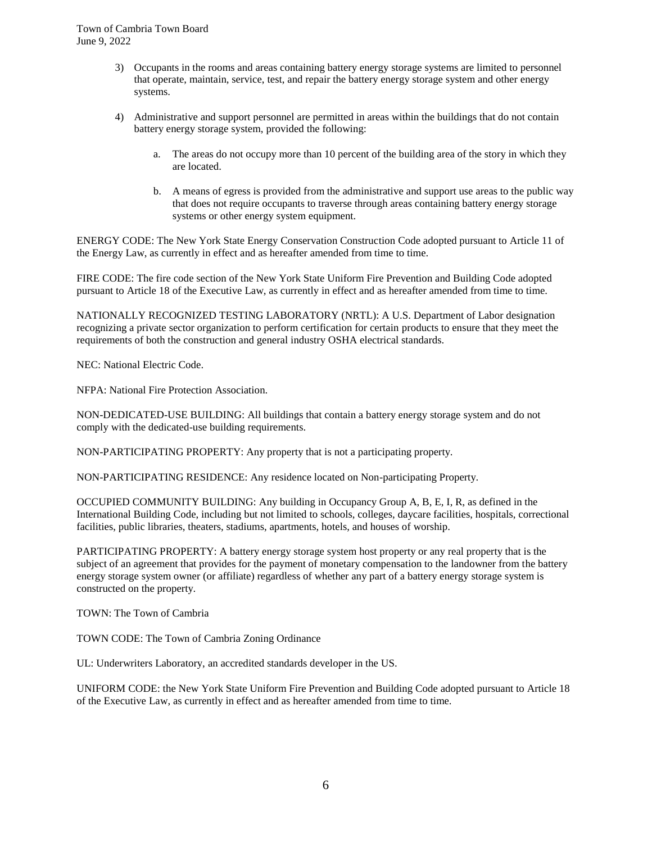- 3) Occupants in the rooms and areas containing battery energy storage systems are limited to personnel that operate, maintain, service, test, and repair the battery energy storage system and other energy systems.
- 4) Administrative and support personnel are permitted in areas within the buildings that do not contain battery energy storage system, provided the following:
	- a. The areas do not occupy more than 10 percent of the building area of the story in which they are located.
	- b. A means of egress is provided from the administrative and support use areas to the public way that does not require occupants to traverse through areas containing battery energy storage systems or other energy system equipment.

ENERGY CODE: The New York State Energy Conservation Construction Code adopted pursuant to Article 11 of the Energy Law, as currently in effect and as hereafter amended from time to time.

FIRE CODE: The fire code section of the New York State Uniform Fire Prevention and Building Code adopted pursuant to Article 18 of the Executive Law, as currently in effect and as hereafter amended from time to time.

NATIONALLY RECOGNIZED TESTING LABORATORY (NRTL): A U.S. Department of Labor designation recognizing a private sector organization to perform certification for certain products to ensure that they meet the requirements of both the construction and general industry OSHA electrical standards.

NEC: National Electric Code.

NFPA: National Fire Protection Association.

NON-DEDICATED-USE BUILDING: All buildings that contain a battery energy storage system and do not comply with the dedicated-use building requirements.

NON-PARTICIPATING PROPERTY: Any property that is not a participating property.

NON-PARTICIPATING RESIDENCE: Any residence located on Non-participating Property.

OCCUPIED COMMUNITY BUILDING: Any building in Occupancy Group A, B, E, I, R, as defined in the International Building Code, including but not limited to schools, colleges, daycare facilities, hospitals, correctional facilities, public libraries, theaters, stadiums, apartments, hotels, and houses of worship.

PARTICIPATING PROPERTY: A battery energy storage system host property or any real property that is the subject of an agreement that provides for the payment of monetary compensation to the landowner from the battery energy storage system owner (or affiliate) regardless of whether any part of a battery energy storage system is constructed on the property.

TOWN: The Town of Cambria

TOWN CODE: The Town of Cambria Zoning Ordinance

UL: Underwriters Laboratory, an accredited standards developer in the US.

UNIFORM CODE: the New York State Uniform Fire Prevention and Building Code adopted pursuant to Article 18 of the Executive Law, as currently in effect and as hereafter amended from time to time.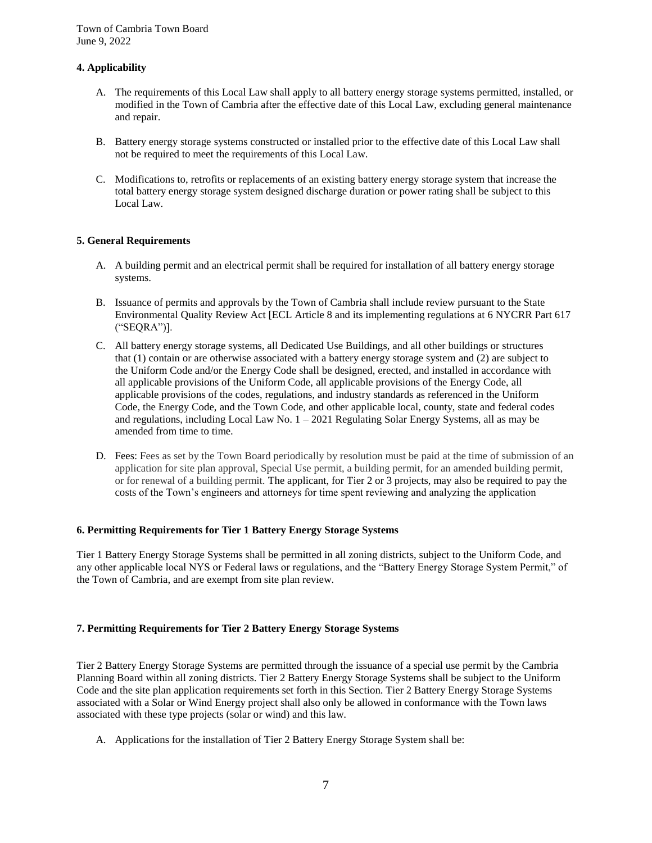## **4. Applicability**

- A. The requirements of this Local Law shall apply to all battery energy storage systems permitted, installed, or modified in the Town of Cambria after the effective date of this Local Law, excluding general maintenance and repair.
- B. Battery energy storage systems constructed or installed prior to the effective date of this Local Law shall not be required to meet the requirements of this Local Law.
- C. Modifications to, retrofits or replacements of an existing battery energy storage system that increase the total battery energy storage system designed discharge duration or power rating shall be subject to this Local Law.

## **5. General Requirements**

- A. A building permit and an electrical permit shall be required for installation of all battery energy storage systems.
- B. Issuance of permits and approvals by the Town of Cambria shall include review pursuant to the State Environmental Quality Review Act [ECL Article 8 and its implementing regulations at 6 NYCRR Part 617 ("SEQRA")].
- C. All battery energy storage systems, all Dedicated Use Buildings, and all other buildings or structures that (1) contain or are otherwise associated with a battery energy storage system and (2) are subject to the Uniform Code and/or the Energy Code shall be designed, erected, and installed in accordance with all applicable provisions of the Uniform Code, all applicable provisions of the Energy Code, all applicable provisions of the codes, regulations, and industry standards as referenced in the Uniform Code, the Energy Code, and the Town Code, and other applicable local, county, state and federal codes and regulations, including Local Law No.  $1 - 2021$  Regulating Solar Energy Systems, all as may be amended from time to time.
- D. Fees: Fees as set by the Town Board periodically by resolution must be paid at the time of submission of an application for site plan approval, Special Use permit, a building permit, for an amended building permit, or for renewal of a building permit. The applicant, for Tier 2 or 3 projects, may also be required to pay the costs of the Town's engineers and attorneys for time spent reviewing and analyzing the application

#### **6. Permitting Requirements for Tier 1 Battery Energy Storage Systems**

Tier 1 Battery Energy Storage Systems shall be permitted in all zoning districts, subject to the Uniform Code, and any other applicable local NYS or Federal laws or regulations, and the "Battery Energy Storage System Permit," of the Town of Cambria, and are exempt from site plan review.

#### **7. Permitting Requirements for Tier 2 Battery Energy Storage Systems**

Tier 2 Battery Energy Storage Systems are permitted through the issuance of a special use permit by the Cambria Planning Board within all zoning districts. Tier 2 Battery Energy Storage Systems shall be subject to the Uniform Code and the site plan application requirements set forth in this Section. Tier 2 Battery Energy Storage Systems associated with a Solar or Wind Energy project shall also only be allowed in conformance with the Town laws associated with these type projects (solar or wind) and this law.

A. Applications for the installation of Tier 2 Battery Energy Storage System shall be: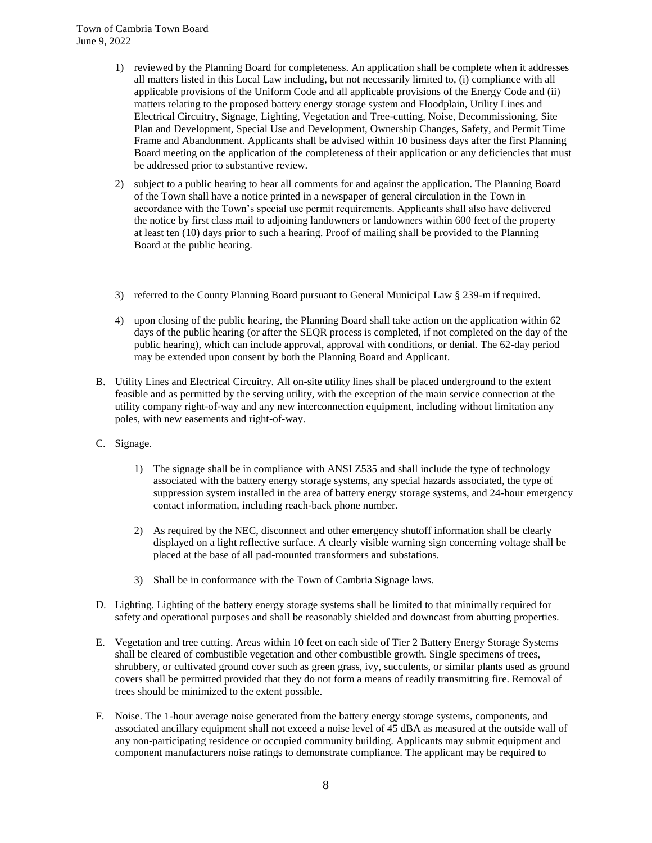- 1) reviewed by the Planning Board for completeness. An application shall be complete when it addresses all matters listed in this Local Law including, but not necessarily limited to, (i) compliance with all applicable provisions of the Uniform Code and all applicable provisions of the Energy Code and (ii) matters relating to the proposed battery energy storage system and Floodplain, Utility Lines and Electrical Circuitry, Signage, Lighting, Vegetation and Tree-cutting, Noise, Decommissioning, Site Plan and Development, Special Use and Development, Ownership Changes, Safety, and Permit Time Frame and Abandonment. Applicants shall be advised within 10 business days after the first Planning Board meeting on the application of the completeness of their application or any deficiencies that must be addressed prior to substantive review.
- 2) subject to a public hearing to hear all comments for and against the application. The Planning Board of the Town shall have a notice printed in a newspaper of general circulation in the Town in accordance with the Town's special use permit requirements. Applicants shall also have delivered the notice by first class mail to adjoining landowners or landowners within 600 feet of the property at least ten (10) days prior to such a hearing. Proof of mailing shall be provided to the Planning Board at the public hearing.
- 3) referred to the County Planning Board pursuant to General Municipal Law § 239-m if required.
- 4) upon closing of the public hearing, the Planning Board shall take action on the application within 62 days of the public hearing (or after the SEQR process is completed, if not completed on the day of the public hearing), which can include approval, approval with conditions, or denial. The 62-day period may be extended upon consent by both the Planning Board and Applicant.
- B. Utility Lines and Electrical Circuitry. All on-site utility lines shall be placed underground to the extent feasible and as permitted by the serving utility, with the exception of the main service connection at the utility company right-of-way and any new interconnection equipment, including without limitation any poles, with new easements and right-of-way.
- C. Signage.
	- 1) The signage shall be in compliance with ANSI Z535 and shall include the type of technology associated with the battery energy storage systems, any special hazards associated, the type of suppression system installed in the area of battery energy storage systems, and 24-hour emergency contact information, including reach-back phone number.
	- 2) As required by the NEC, disconnect and other emergency shutoff information shall be clearly displayed on a light reflective surface. A clearly visible warning sign concerning voltage shall be placed at the base of all pad-mounted transformers and substations.
	- 3) Shall be in conformance with the Town of Cambria Signage laws.
- D. Lighting. Lighting of the battery energy storage systems shall be limited to that minimally required for safety and operational purposes and shall be reasonably shielded and downcast from abutting properties.
- E. Vegetation and tree cutting. Areas within 10 feet on each side of Tier 2 Battery Energy Storage Systems shall be cleared of combustible vegetation and other combustible growth. Single specimens of trees, shrubbery, or cultivated ground cover such as green grass, ivy, succulents, or similar plants used as ground covers shall be permitted provided that they do not form a means of readily transmitting fire. Removal of trees should be minimized to the extent possible.
- F. Noise. The 1-hour average noise generated from the battery energy storage systems, components, and associated ancillary equipment shall not exceed a noise level of 45 dBA as measured at the outside wall of any non-participating residence or occupied community building. Applicants may submit equipment and component manufacturers noise ratings to demonstrate compliance. The applicant may be required to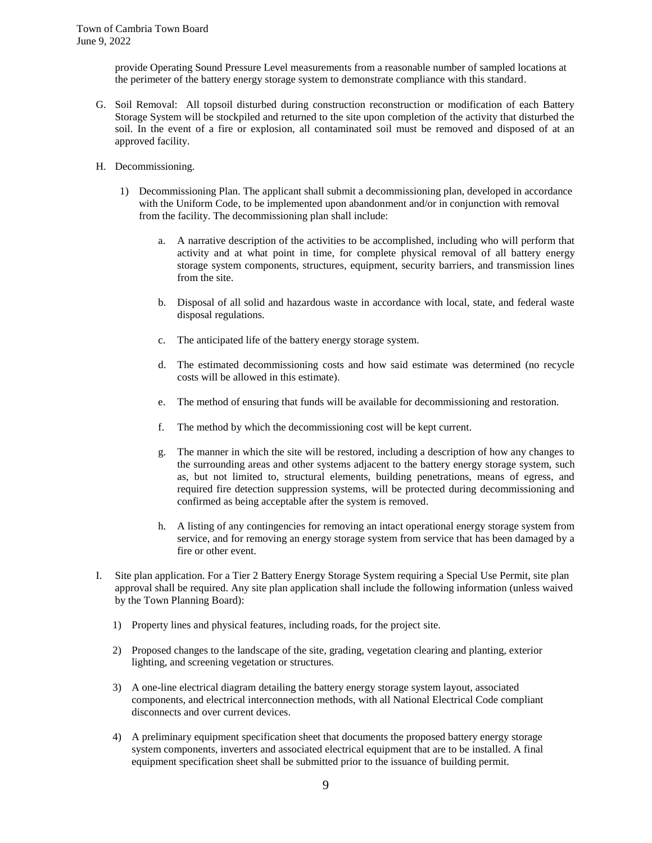provide Operating Sound Pressure Level measurements from a reasonable number of sampled locations at the perimeter of the battery energy storage system to demonstrate compliance with this standard.

- G. Soil Removal: All topsoil disturbed during construction reconstruction or modification of each Battery Storage System will be stockpiled and returned to the site upon completion of the activity that disturbed the soil. In the event of a fire or explosion, all contaminated soil must be removed and disposed of at an approved facility.
- H. Decommissioning.
	- 1) Decommissioning Plan. The applicant shall submit a decommissioning plan, developed in accordance with the Uniform Code, to be implemented upon abandonment and/or in conjunction with removal from the facility. The decommissioning plan shall include:
		- a. A narrative description of the activities to be accomplished, including who will perform that activity and at what point in time, for complete physical removal of all battery energy storage system components, structures, equipment, security barriers, and transmission lines from the site.
		- b. Disposal of all solid and hazardous waste in accordance with local, state, and federal waste disposal regulations.
		- c. The anticipated life of the battery energy storage system.
		- d. The estimated decommissioning costs and how said estimate was determined (no recycle costs will be allowed in this estimate).
		- e. The method of ensuring that funds will be available for decommissioning and restoration.
		- f. The method by which the decommissioning cost will be kept current.
		- g. The manner in which the site will be restored, including a description of how any changes to the surrounding areas and other systems adjacent to the battery energy storage system, such as, but not limited to, structural elements, building penetrations, means of egress, and required fire detection suppression systems, will be protected during decommissioning and confirmed as being acceptable after the system is removed.
		- h. A listing of any contingencies for removing an intact operational energy storage system from service, and for removing an energy storage system from service that has been damaged by a fire or other event.
- I. Site plan application. For a Tier 2 Battery Energy Storage System requiring a Special Use Permit, site plan approval shall be required. Any site plan application shall include the following information (unless waived by the Town Planning Board):
	- 1) Property lines and physical features, including roads, for the project site.
	- 2) Proposed changes to the landscape of the site, grading, vegetation clearing and planting, exterior lighting, and screening vegetation or structures.
	- 3) A one-line electrical diagram detailing the battery energy storage system layout, associated components, and electrical interconnection methods, with all National Electrical Code compliant disconnects and over current devices.
	- 4) A preliminary equipment specification sheet that documents the proposed battery energy storage system components, inverters and associated electrical equipment that are to be installed. A final equipment specification sheet shall be submitted prior to the issuance of building permit.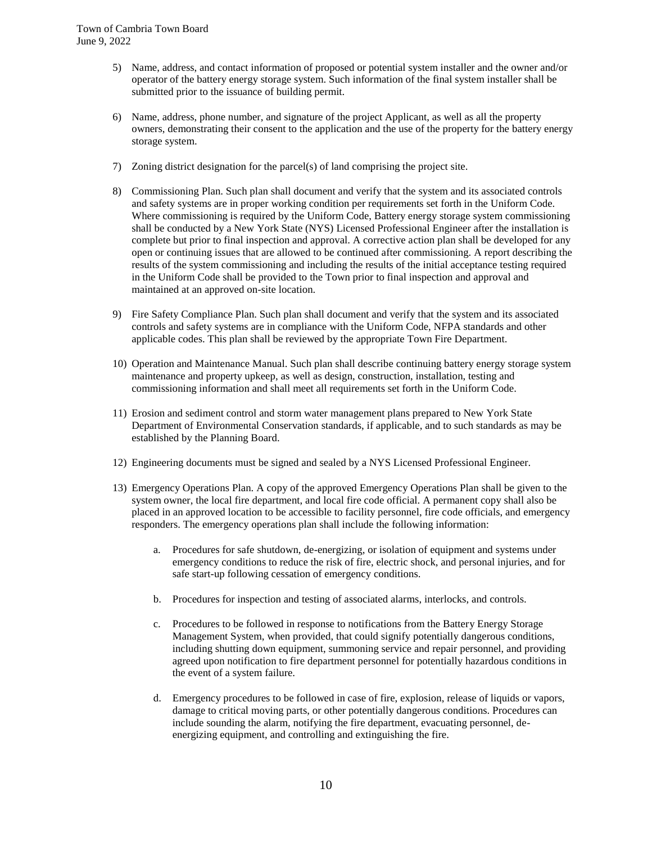- 5) Name, address, and contact information of proposed or potential system installer and the owner and/or operator of the battery energy storage system. Such information of the final system installer shall be submitted prior to the issuance of building permit.
- 6) Name, address, phone number, and signature of the project Applicant, as well as all the property owners, demonstrating their consent to the application and the use of the property for the battery energy storage system.
- 7) Zoning district designation for the parcel(s) of land comprising the project site.
- 8) Commissioning Plan. Such plan shall document and verify that the system and its associated controls and safety systems are in proper working condition per requirements set forth in the Uniform Code. Where commissioning is required by the Uniform Code, Battery energy storage system commissioning shall be conducted by a New York State (NYS) Licensed Professional Engineer after the installation is complete but prior to final inspection and approval. A corrective action plan shall be developed for any open or continuing issues that are allowed to be continued after commissioning. A report describing the results of the system commissioning and including the results of the initial acceptance testing required in the Uniform Code shall be provided to the Town prior to final inspection and approval and maintained at an approved on-site location.
- 9) Fire Safety Compliance Plan. Such plan shall document and verify that the system and its associated controls and safety systems are in compliance with the Uniform Code, NFPA standards and other applicable codes. This plan shall be reviewed by the appropriate Town Fire Department.
- 10) Operation and Maintenance Manual. Such plan shall describe continuing battery energy storage system maintenance and property upkeep, as well as design, construction, installation, testing and commissioning information and shall meet all requirements set forth in the Uniform Code.
- 11) Erosion and sediment control and storm water management plans prepared to New York State Department of Environmental Conservation standards, if applicable, and to such standards as may be established by the Planning Board.
- 12) Engineering documents must be signed and sealed by a NYS Licensed Professional Engineer.
- 13) Emergency Operations Plan. A copy of the approved Emergency Operations Plan shall be given to the system owner, the local fire department, and local fire code official. A permanent copy shall also be placed in an approved location to be accessible to facility personnel, fire code officials, and emergency responders. The emergency operations plan shall include the following information:
	- a. Procedures for safe shutdown, de-energizing, or isolation of equipment and systems under emergency conditions to reduce the risk of fire, electric shock, and personal injuries, and for safe start-up following cessation of emergency conditions.
	- b. Procedures for inspection and testing of associated alarms, interlocks, and controls.
	- c. Procedures to be followed in response to notifications from the Battery Energy Storage Management System, when provided, that could signify potentially dangerous conditions, including shutting down equipment, summoning service and repair personnel, and providing agreed upon notification to fire department personnel for potentially hazardous conditions in the event of a system failure.
	- d. Emergency procedures to be followed in case of fire, explosion, release of liquids or vapors, damage to critical moving parts, or other potentially dangerous conditions. Procedures can include sounding the alarm, notifying the fire department, evacuating personnel, deenergizing equipment, and controlling and extinguishing the fire.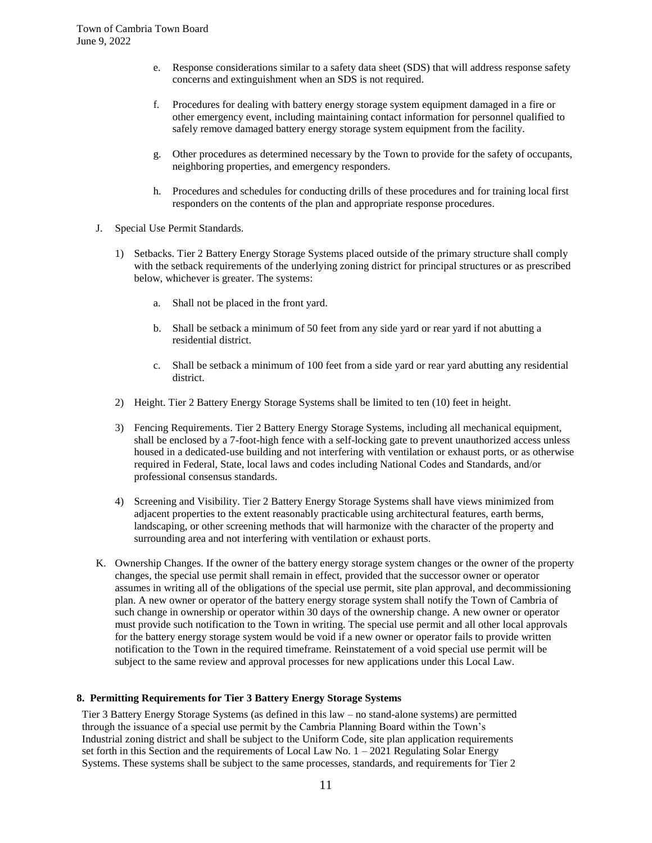- e. Response considerations similar to a safety data sheet (SDS) that will address response safety concerns and extinguishment when an SDS is not required.
- f. Procedures for dealing with battery energy storage system equipment damaged in a fire or other emergency event, including maintaining contact information for personnel qualified to safely remove damaged battery energy storage system equipment from the facility.
- g. Other procedures as determined necessary by the Town to provide for the safety of occupants, neighboring properties, and emergency responders.
- h. Procedures and schedules for conducting drills of these procedures and for training local first responders on the contents of the plan and appropriate response procedures.
- J. Special Use Permit Standards.
	- 1) Setbacks. Tier 2 Battery Energy Storage Systems placed outside of the primary structure shall comply with the setback requirements of the underlying zoning district for principal structures or as prescribed below, whichever is greater. The systems:
		- a. Shall not be placed in the front yard.
		- b. Shall be setback a minimum of 50 feet from any side yard or rear yard if not abutting a residential district.
		- c. Shall be setback a minimum of 100 feet from a side yard or rear yard abutting any residential district.
	- 2) Height. Tier 2 Battery Energy Storage Systems shall be limited to ten (10) feet in height.
	- 3) Fencing Requirements. Tier 2 Battery Energy Storage Systems, including all mechanical equipment, shall be enclosed by a 7-foot-high fence with a self-locking gate to prevent unauthorized access unless housed in a dedicated-use building and not interfering with ventilation or exhaust ports, or as otherwise required in Federal, State, local laws and codes including National Codes and Standards, and/or professional consensus standards.
	- 4) Screening and Visibility. Tier 2 Battery Energy Storage Systems shall have views minimized from adjacent properties to the extent reasonably practicable using architectural features, earth berms, landscaping, or other screening methods that will harmonize with the character of the property and surrounding area and not interfering with ventilation or exhaust ports.
- K. Ownership Changes. If the owner of the battery energy storage system changes or the owner of the property changes, the special use permit shall remain in effect, provided that the successor owner or operator assumes in writing all of the obligations of the special use permit, site plan approval, and decommissioning plan. A new owner or operator of the battery energy storage system shall notify the Town of Cambria of such change in ownership or operator within 30 days of the ownership change. A new owner or operator must provide such notification to the Town in writing. The special use permit and all other local approvals for the battery energy storage system would be void if a new owner or operator fails to provide written notification to the Town in the required timeframe. Reinstatement of a void special use permit will be subject to the same review and approval processes for new applications under this Local Law.

## **8. Permitting Requirements for Tier 3 Battery Energy Storage Systems**

Tier 3 Battery Energy Storage Systems (as defined in this law – no stand-alone systems) are permitted through the issuance of a special use permit by the Cambria Planning Board within the Town's Industrial zoning district and shall be subject to the Uniform Code, site plan application requirements set forth in this Section and the requirements of Local Law No. 1 – 2021 Regulating Solar Energy Systems. These systems shall be subject to the same processes, standards, and requirements for Tier 2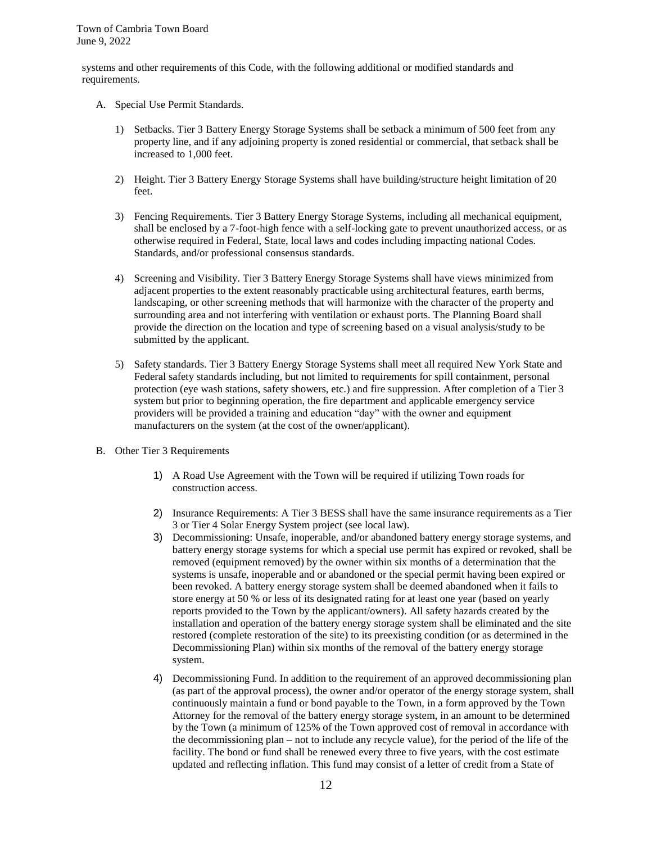systems and other requirements of this Code, with the following additional or modified standards and requirements.

- A. Special Use Permit Standards.
	- 1) Setbacks. Tier 3 Battery Energy Storage Systems shall be setback a minimum of 500 feet from any property line, and if any adjoining property is zoned residential or commercial, that setback shall be increased to 1,000 feet.
	- 2) Height. Tier 3 Battery Energy Storage Systems shall have building/structure height limitation of 20 feet.
	- 3) Fencing Requirements. Tier 3 Battery Energy Storage Systems, including all mechanical equipment, shall be enclosed by a 7-foot-high fence with a self-locking gate to prevent unauthorized access, or as otherwise required in Federal, State, local laws and codes including impacting national Codes. Standards, and/or professional consensus standards.
	- 4) Screening and Visibility. Tier 3 Battery Energy Storage Systems shall have views minimized from adjacent properties to the extent reasonably practicable using architectural features, earth berms, landscaping, or other screening methods that will harmonize with the character of the property and surrounding area and not interfering with ventilation or exhaust ports. The Planning Board shall provide the direction on the location and type of screening based on a visual analysis/study to be submitted by the applicant.
	- 5) Safety standards. Tier 3 Battery Energy Storage Systems shall meet all required New York State and Federal safety standards including, but not limited to requirements for spill containment, personal protection (eye wash stations, safety showers, etc.) and fire suppression. After completion of a Tier 3 system but prior to beginning operation, the fire department and applicable emergency service providers will be provided a training and education "day" with the owner and equipment manufacturers on the system (at the cost of the owner/applicant).
- B. Other Tier 3 Requirements
	- 1) A Road Use Agreement with the Town will be required if utilizing Town roads for construction access.
	- 2) Insurance Requirements: A Tier 3 BESS shall have the same insurance requirements as a Tier 3 or Tier 4 Solar Energy System project (see local law).
	- 3) Decommissioning: Unsafe, inoperable, and/or abandoned battery energy storage systems, and battery energy storage systems for which a special use permit has expired or revoked, shall be removed (equipment removed) by the owner within six months of a determination that the systems is unsafe, inoperable and or abandoned or the special permit having been expired or been revoked. A battery energy storage system shall be deemed abandoned when it fails to store energy at 50 % or less of its designated rating for at least one year (based on yearly reports provided to the Town by the applicant/owners). All safety hazards created by the installation and operation of the battery energy storage system shall be eliminated and the site restored (complete restoration of the site) to its preexisting condition (or as determined in the Decommissioning Plan) within six months of the removal of the battery energy storage system.
	- 4) Decommissioning Fund. In addition to the requirement of an approved decommissioning plan (as part of the approval process), the owner and/or operator of the energy storage system, shall continuously maintain a fund or bond payable to the Town, in a form approved by the Town Attorney for the removal of the battery energy storage system, in an amount to be determined by the Town (a minimum of 125% of the Town approved cost of removal in accordance with the decommissioning plan – not to include any recycle value), for the period of the life of the facility. The bond or fund shall be renewed every three to five years, with the cost estimate updated and reflecting inflation. This fund may consist of a letter of credit from a State of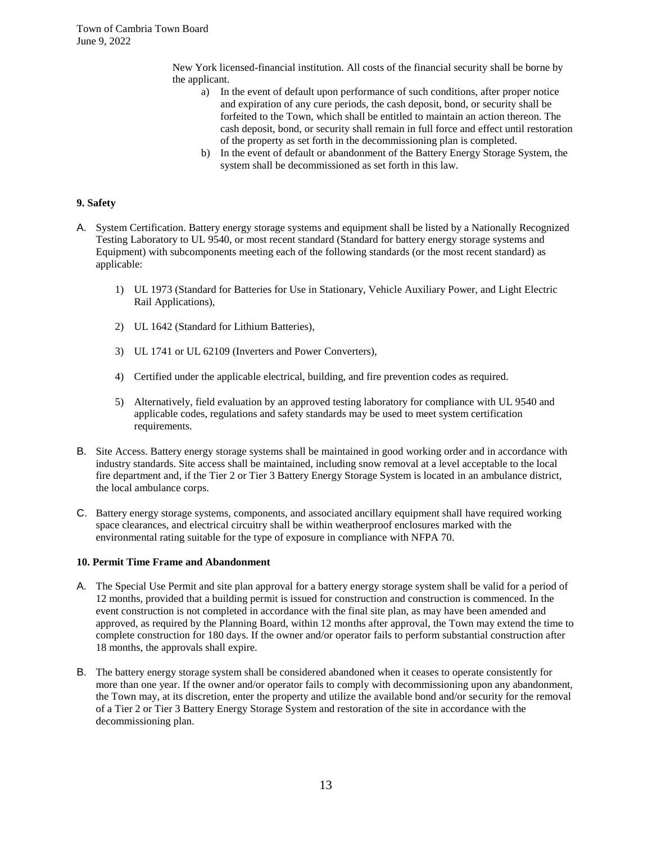New York licensed-financial institution. All costs of the financial security shall be borne by the applicant.

- a) In the event of default upon performance of such conditions, after proper notice and expiration of any cure periods, the cash deposit, bond, or security shall be forfeited to the Town, which shall be entitled to maintain an action thereon. The cash deposit, bond, or security shall remain in full force and effect until restoration of the property as set forth in the decommissioning plan is completed.
- b) In the event of default or abandonment of the Battery Energy Storage System, the system shall be decommissioned as set forth in this law.

## **9. Safety**

- A. System Certification. Battery energy storage systems and equipment shall be listed by a Nationally Recognized Testing Laboratory to UL 9540, or most recent standard (Standard for battery energy storage systems and Equipment) with subcomponents meeting each of the following standards (or the most recent standard) as applicable:
	- 1) UL 1973 (Standard for Batteries for Use in Stationary, Vehicle Auxiliary Power, and Light Electric Rail Applications),
	- 2) UL 1642 (Standard for Lithium Batteries),
	- 3) UL 1741 or UL 62109 (Inverters and Power Converters),
	- 4) Certified under the applicable electrical, building, and fire prevention codes as required.
	- 5) Alternatively, field evaluation by an approved testing laboratory for compliance with UL 9540 and applicable codes, regulations and safety standards may be used to meet system certification requirements.
- B. Site Access. Battery energy storage systems shall be maintained in good working order and in accordance with industry standards. Site access shall be maintained, including snow removal at a level acceptable to the local fire department and, if the Tier 2 or Tier 3 Battery Energy Storage System is located in an ambulance district, the local ambulance corps.
- C. Battery energy storage systems, components, and associated ancillary equipment shall have required working space clearances, and electrical circuitry shall be within weatherproof enclosures marked with the environmental rating suitable for the type of exposure in compliance with NFPA 70.

#### **10. Permit Time Frame and Abandonment**

- A. The Special Use Permit and site plan approval for a battery energy storage system shall be valid for a period of 12 months, provided that a building permit is issued for construction and construction is commenced. In the event construction is not completed in accordance with the final site plan, as may have been amended and approved, as required by the Planning Board, within 12 months after approval, the Town may extend the time to complete construction for 180 days. If the owner and/or operator fails to perform substantial construction after 18 months, the approvals shall expire.
- B. The battery energy storage system shall be considered abandoned when it ceases to operate consistently for more than one year. If the owner and/or operator fails to comply with decommissioning upon any abandonment, the Town may, at its discretion, enter the property and utilize the available bond and/or security for the removal of a Tier 2 or Tier 3 Battery Energy Storage System and restoration of the site in accordance with the decommissioning plan.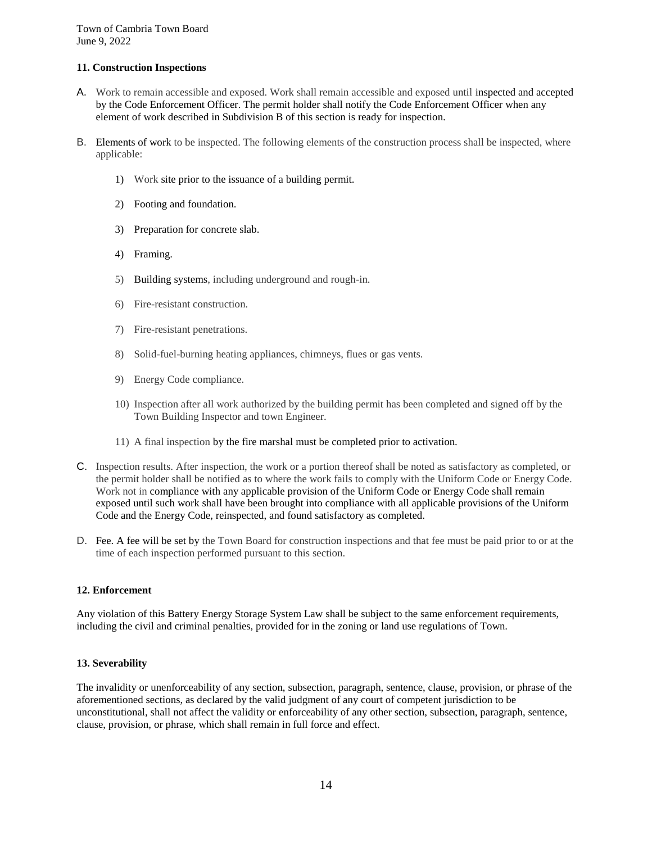# **11. Construction Inspections**

- A. Work to remain accessible and exposed. Work shall remain accessible and exposed until inspected and accepted by the Code Enforcement Officer. The permit holder shall notify the Code Enforcement Officer when any element of work described in Subdivision B of this section is ready for inspection.
- B. Elements of work to be inspected. The following elements of the construction process shall be inspected, where applicable:
	- 1) Work site prior to the issuance of a building permit.
	- 2) Footing and foundation.
	- 3) Preparation for concrete slab.
	- 4) Framing.
	- 5) Building systems, including underground and rough-in.
	- 6) Fire-resistant construction.
	- 7) Fire-resistant penetrations.
	- 8) Solid-fuel-burning heating appliances, chimneys, flues or gas vents.
	- 9) Energy Code compliance.
	- 10) Inspection after all work authorized by the building permit has been completed and signed off by the Town Building Inspector and town Engineer.
	- 11) A final inspection by the fire marshal must be completed prior to activation.
- C. Inspection results. After inspection, the work or a portion thereof shall be noted as satisfactory as completed, or the permit holder shall be notified as to where the work fails to comply with the Uniform Code or Energy Code. Work not in compliance with any applicable provision of the Uniform Code or Energy Code shall remain exposed until such work shall have been brought into compliance with all applicable provisions of the Uniform Code and the Energy Code, reinspected, and found satisfactory as completed.
- D. Fee. A fee will be set by the Town Board for construction inspections and that fee must be paid prior to or at the time of each inspection performed pursuant to this section.

## **12. Enforcement**

Any violation of this Battery Energy Storage System Law shall be subject to the same enforcement requirements, including the civil and criminal penalties, provided for in the zoning or land use regulations of Town.

## **13. Severability**

The invalidity or unenforceability of any section, subsection, paragraph, sentence, clause, provision, or phrase of the aforementioned sections, as declared by the valid judgment of any court of competent jurisdiction to be unconstitutional, shall not affect the validity or enforceability of any other section, subsection, paragraph, sentence, clause, provision, or phrase, which shall remain in full force and effect.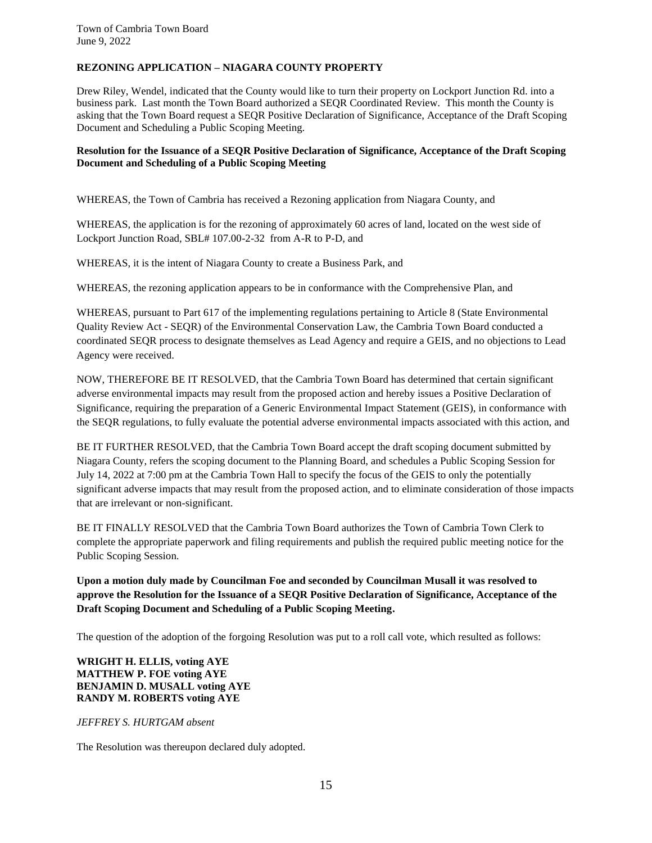# **REZONING APPLICATION – NIAGARA COUNTY PROPERTY**

Drew Riley, Wendel, indicated that the County would like to turn their property on Lockport Junction Rd. into a business park. Last month the Town Board authorized a SEQR Coordinated Review. This month the County is asking that the Town Board request a SEQR Positive Declaration of Significance, Acceptance of the Draft Scoping Document and Scheduling a Public Scoping Meeting.

## **Resolution for the Issuance of a SEQR Positive Declaration of Significance, Acceptance of the Draft Scoping Document and Scheduling of a Public Scoping Meeting**

WHEREAS, the Town of Cambria has received a Rezoning application from Niagara County, and

WHEREAS, the application is for the rezoning of approximately 60 acres of land, located on the west side of Lockport Junction Road, SBL# 107.00-2-32 from A-R to P-D, and

WHEREAS, it is the intent of Niagara County to create a Business Park, and

WHEREAS, the rezoning application appears to be in conformance with the Comprehensive Plan, and

WHEREAS, pursuant to Part 617 of the implementing regulations pertaining to Article 8 (State Environmental Quality Review Act - SEQR) of the Environmental Conservation Law, the Cambria Town Board conducted a coordinated SEQR process to designate themselves as Lead Agency and require a GEIS, and no objections to Lead Agency were received.

NOW, THEREFORE BE IT RESOLVED, that the Cambria Town Board has determined that certain significant adverse environmental impacts may result from the proposed action and hereby issues a Positive Declaration of Significance, requiring the preparation of a Generic Environmental Impact Statement (GEIS), in conformance with the SEQR regulations, to fully evaluate the potential adverse environmental impacts associated with this action, and

BE IT FURTHER RESOLVED, that the Cambria Town Board accept the draft scoping document submitted by Niagara County, refers the scoping document to the Planning Board, and schedules a Public Scoping Session for July 14, 2022 at 7:00 pm at the Cambria Town Hall to specify the focus of the GEIS to only the potentially significant adverse impacts that may result from the proposed action, and to eliminate consideration of those impacts that are irrelevant or non-significant.

BE IT FINALLY RESOLVED that the Cambria Town Board authorizes the Town of Cambria Town Clerk to complete the appropriate paperwork and filing requirements and publish the required public meeting notice for the Public Scoping Session.

**Upon a motion duly made by Councilman Foe and seconded by Councilman Musall it was resolved to approve the Resolution for the Issuance of a SEQR Positive Declaration of Significance, Acceptance of the Draft Scoping Document and Scheduling of a Public Scoping Meeting.**

The question of the adoption of the forgoing Resolution was put to a roll call vote, which resulted as follows:

## **WRIGHT H. ELLIS, voting AYE MATTHEW P. FOE voting AYE BENJAMIN D. MUSALL voting AYE RANDY M. ROBERTS voting AYE**

## *JEFFREY S. HURTGAM absent*

The Resolution was thereupon declared duly adopted.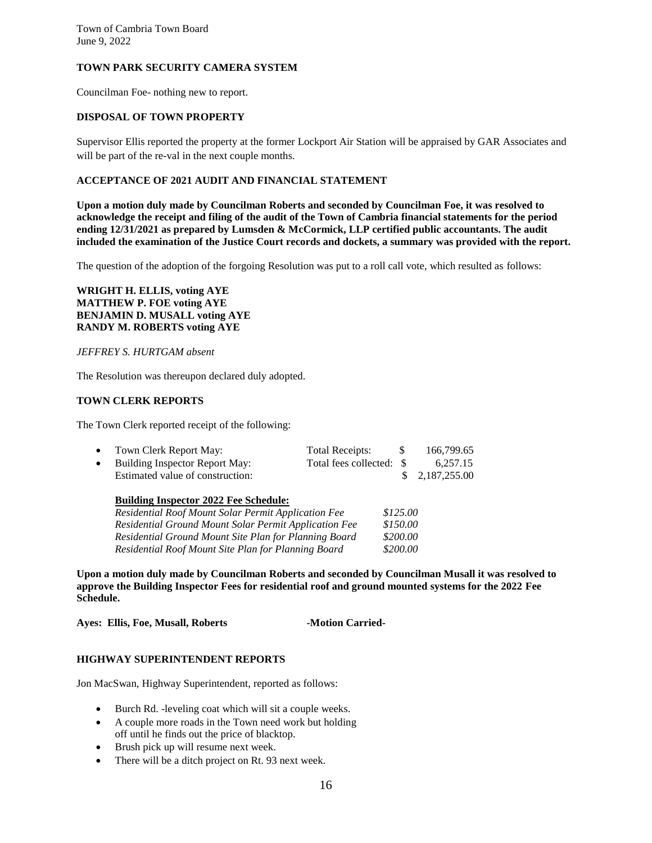# **TOWN PARK SECURITY CAMERA SYSTEM**

Councilman Foe- nothing new to report.

# **DISPOSAL OF TOWN PROPERTY**

Supervisor Ellis reported the property at the former Lockport Air Station will be appraised by GAR Associates and will be part of the re-val in the next couple months.

#### **ACCEPTANCE OF 2021 AUDIT AND FINANCIAL STATEMENT**

**Upon a motion duly made by Councilman Roberts and seconded by Councilman Foe, it was resolved to acknowledge the receipt and filing of the audit of the Town of Cambria financial statements for the period ending 12/31/2021 as prepared by Lumsden & McCormick, LLP certified public accountants. The audit included the examination of the Justice Court records and dockets, a summary was provided with the report.**

The question of the adoption of the forgoing Resolution was put to a roll call vote, which resulted as follows:

**WRIGHT H. ELLIS, voting AYE MATTHEW P. FOE voting AYE BENJAMIN D. MUSALL voting AYE RANDY M. ROBERTS voting AYE**

#### *JEFFREY S. HURTGAM absent*

The Resolution was thereupon declared duly adopted.

#### **TOWN CLERK REPORTS**

The Town Clerk reported receipt of the following:

| Town Clerk Report May:           | Total Receipts: | 166,799.65     |
|----------------------------------|-----------------|----------------|
| Building Inspector Report May:   |                 | 6,257.15       |
| Estimated value of construction: |                 | \$2,187,255.00 |

| <b>Building Inspector 2022 Fee Schedule:</b>                 |          |
|--------------------------------------------------------------|----------|
| Residential Roof Mount Solar Permit Application Fee          | \$125.00 |
| <b>Residential Ground Mount Solar Permit Application Fee</b> | \$150.00 |
| Residential Ground Mount Site Plan for Planning Board        | \$200.00 |
| Residential Roof Mount Site Plan for Planning Board          | \$200.00 |

**Upon a motion duly made by Councilman Roberts and seconded by Councilman Musall it was resolved to approve the Building Inspector Fees for residential roof and ground mounted systems for the 2022 Fee Schedule.**

Ayes: Ellis, Foe, Musall, Roberts **-Motion Carried-**

#### **HIGHWAY SUPERINTENDENT REPORTS**

Jon MacSwan, Highway Superintendent, reported as follows:

- Burch Rd. -leveling coat which will sit a couple weeks.
- A couple more roads in the Town need work but holding off until he finds out the price of blacktop.
- Brush pick up will resume next week.
- There will be a ditch project on Rt. 93 next week.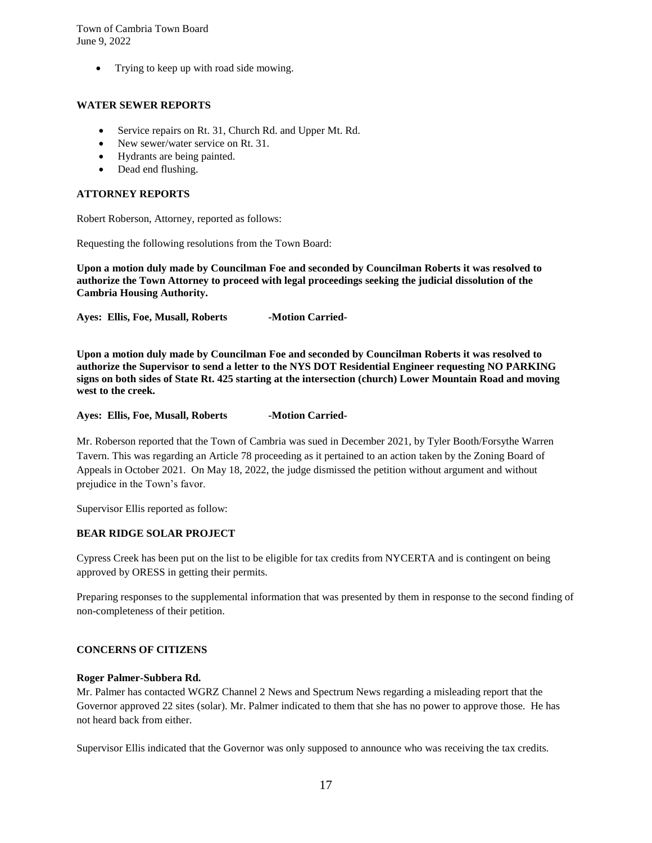Trying to keep up with road side mowing.

## **WATER SEWER REPORTS**

- Service repairs on Rt. 31, Church Rd. and Upper Mt. Rd.
- New sewer/water service on Rt. 31.
- Hydrants are being painted.
- Dead end flushing.

#### **ATTORNEY REPORTS**

Robert Roberson, Attorney, reported as follows:

Requesting the following resolutions from the Town Board:

**Upon a motion duly made by Councilman Foe and seconded by Councilman Roberts it was resolved to authorize the Town Attorney to proceed with legal proceedings seeking the judicial dissolution of the Cambria Housing Authority.**

Ayes: Ellis, Foe, Musall, Roberts -Motion Carried-

**Upon a motion duly made by Councilman Foe and seconded by Councilman Roberts it was resolved to authorize the Supervisor to send a letter to the NYS DOT Residential Engineer requesting NO PARKING signs on both sides of State Rt. 425 starting at the intersection (church) Lower Mountain Road and moving west to the creek.**

Ayes: Ellis, Foe, Musall, Roberts -Motion Carried-

Mr. Roberson reported that the Town of Cambria was sued in December 2021, by Tyler Booth/Forsythe Warren Tavern. This was regarding an Article 78 proceeding as it pertained to an action taken by the Zoning Board of Appeals in October 2021. On May 18, 2022, the judge dismissed the petition without argument and without prejudice in the Town's favor.

Supervisor Ellis reported as follow:

#### **BEAR RIDGE SOLAR PROJECT**

Cypress Creek has been put on the list to be eligible for tax credits from NYCERTA and is contingent on being approved by ORESS in getting their permits.

Preparing responses to the supplemental information that was presented by them in response to the second finding of non-completeness of their petition.

## **CONCERNS OF CITIZENS**

#### **Roger Palmer-Subbera Rd.**

Mr. Palmer has contacted WGRZ Channel 2 News and Spectrum News regarding a misleading report that the Governor approved 22 sites (solar). Mr. Palmer indicated to them that she has no power to approve those. He has not heard back from either.

Supervisor Ellis indicated that the Governor was only supposed to announce who was receiving the tax credits.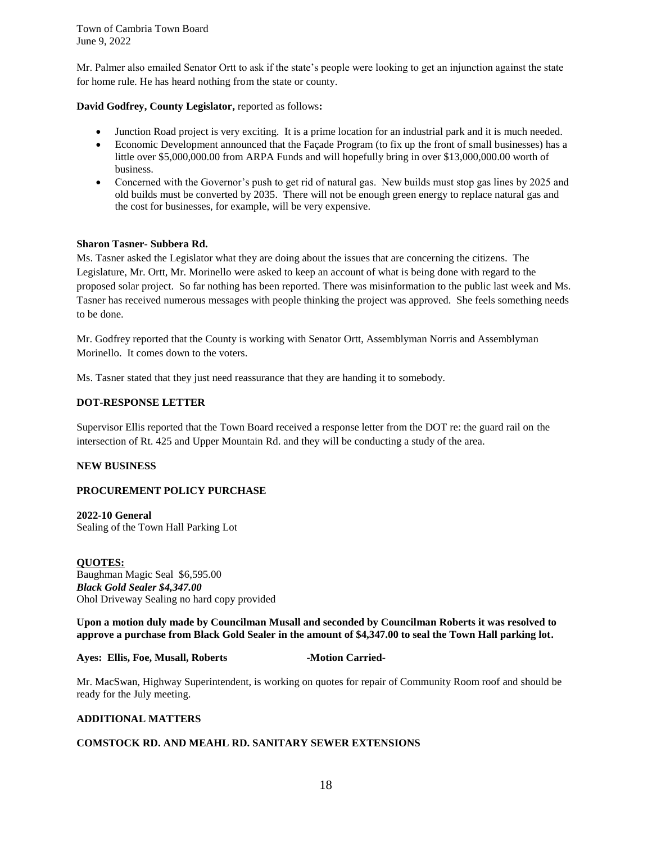Mr. Palmer also emailed Senator Ortt to ask if the state's people were looking to get an injunction against the state for home rule. He has heard nothing from the state or county.

## **David Godfrey, County Legislator,** reported as follows**:**

- Junction Road project is very exciting. It is a prime location for an industrial park and it is much needed.
- Economic Development announced that the Façade Program (to fix up the front of small businesses) has a little over \$5,000,000.00 from ARPA Funds and will hopefully bring in over \$13,000,000.00 worth of business.
- Concerned with the Governor's push to get rid of natural gas. New builds must stop gas lines by 2025 and old builds must be converted by 2035. There will not be enough green energy to replace natural gas and the cost for businesses, for example, will be very expensive.

#### **Sharon Tasner- Subbera Rd.**

Ms. Tasner asked the Legislator what they are doing about the issues that are concerning the citizens. The Legislature, Mr. Ortt, Mr. Morinello were asked to keep an account of what is being done with regard to the proposed solar project. So far nothing has been reported. There was misinformation to the public last week and Ms. Tasner has received numerous messages with people thinking the project was approved. She feels something needs to be done.

Mr. Godfrey reported that the County is working with Senator Ortt, Assemblyman Norris and Assemblyman Morinello. It comes down to the voters.

Ms. Tasner stated that they just need reassurance that they are handing it to somebody.

#### **DOT-RESPONSE LETTER**

Supervisor Ellis reported that the Town Board received a response letter from the DOT re: the guard rail on the intersection of Rt. 425 and Upper Mountain Rd. and they will be conducting a study of the area.

#### **NEW BUSINESS**

## **PROCUREMENT POLICY PURCHASE**

**2022-10 General** Sealing of the Town Hall Parking Lot

#### **QUOTES:**

Baughman Magic Seal \$6,595.00 *Black Gold Sealer \$4,347.00* Ohol Driveway Sealing no hard copy provided

**Upon a motion duly made by Councilman Musall and seconded by Councilman Roberts it was resolved to approve a purchase from Black Gold Sealer in the amount of \$4,347.00 to seal the Town Hall parking lot.** 

#### **Ayes: Ellis, Foe, Musall, Roberts -Motion Carried-**

Mr. MacSwan, Highway Superintendent, is working on quotes for repair of Community Room roof and should be ready for the July meeting.

#### **ADDITIONAL MATTERS**

#### **COMSTOCK RD. AND MEAHL RD. SANITARY SEWER EXTENSIONS**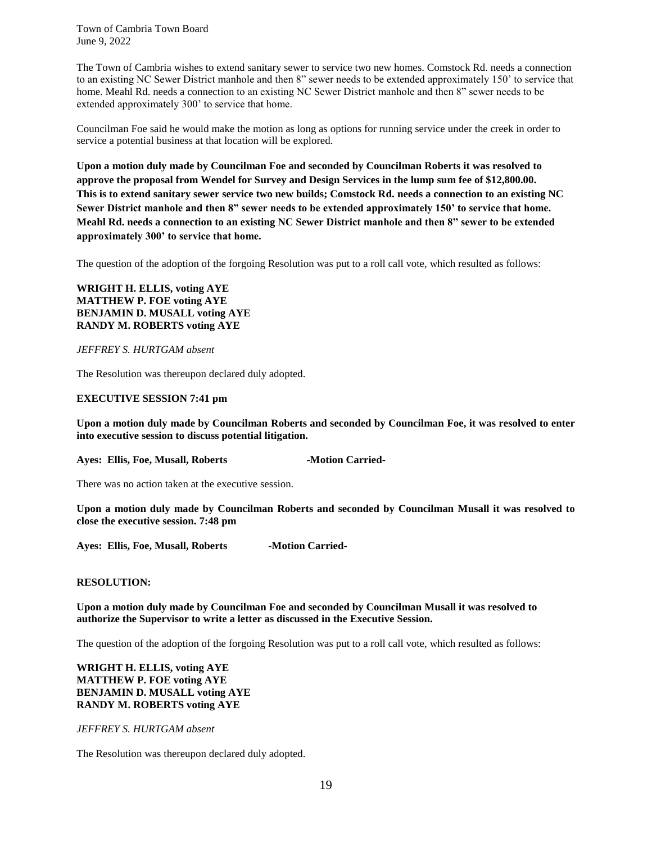The Town of Cambria wishes to extend sanitary sewer to service two new homes. Comstock Rd. needs a connection to an existing NC Sewer District manhole and then 8" sewer needs to be extended approximately 150' to service that home. Meahl Rd. needs a connection to an existing NC Sewer District manhole and then 8" sewer needs to be extended approximately 300' to service that home.

Councilman Foe said he would make the motion as long as options for running service under the creek in order to service a potential business at that location will be explored.

**Upon a motion duly made by Councilman Foe and seconded by Councilman Roberts it was resolved to approve the proposal from Wendel for Survey and Design Services in the lump sum fee of \$12,800.00. This is to extend sanitary sewer service two new builds; Comstock Rd. needs a connection to an existing NC Sewer District manhole and then 8" sewer needs to be extended approximately 150' to service that home. Meahl Rd. needs a connection to an existing NC Sewer District manhole and then 8" sewer to be extended approximately 300' to service that home.**

The question of the adoption of the forgoing Resolution was put to a roll call vote, which resulted as follows:

**WRIGHT H. ELLIS, voting AYE MATTHEW P. FOE voting AYE BENJAMIN D. MUSALL voting AYE RANDY M. ROBERTS voting AYE**

*JEFFREY S. HURTGAM absent*

The Resolution was thereupon declared duly adopted.

#### **EXECUTIVE SESSION 7:41 pm**

**Upon a motion duly made by Councilman Roberts and seconded by Councilman Foe, it was resolved to enter into executive session to discuss potential litigation.**

Ayes: Ellis, Foe, Musall, Roberts **-Motion Carried-**

There was no action taken at the executive session.

**Upon a motion duly made by Councilman Roberts and seconded by Councilman Musall it was resolved to close the executive session. 7:48 pm**

Ayes: Ellis, Foe, Musall, Roberts **-Motion Carried-**

#### **RESOLUTION:**

**Upon a motion duly made by Councilman Foe and seconded by Councilman Musall it was resolved to authorize the Supervisor to write a letter as discussed in the Executive Session.**

The question of the adoption of the forgoing Resolution was put to a roll call vote, which resulted as follows:

## **WRIGHT H. ELLIS, voting AYE MATTHEW P. FOE voting AYE BENJAMIN D. MUSALL voting AYE RANDY M. ROBERTS voting AYE**

#### *JEFFREY S. HURTGAM absent*

The Resolution was thereupon declared duly adopted.